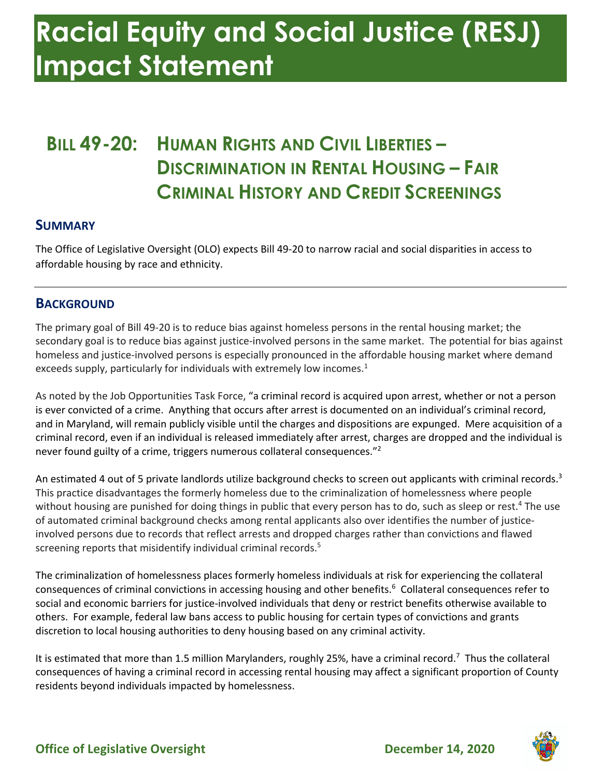## **Racial Equity and Social Justice (RESJ) Impact Statement**

### **BILL 49-20: HUMAN RIGHTS AND CIVIL LIBERTIES – DISCRIMINATION IN RENTAL HOUSING – FAIR CRIMINAL HISTORY AND CREDIT SCREENINGS**

#### **SUMMARY**

 The Office of Legislative Oversight (OLO) expects Bill 49-20 to narrow racial and social disparities in access to affordable housing by race and ethnicity.

#### **BACKGROUND**

 The primary goal of Bill 49-20 is to reduce bias against homeless persons in the rental housing market; the homeless and justice-involved persons is especially pronounced in the affordable housing market where demand exceeds supply, particularly for individuals with extremely low incomes. $<sup>1</sup>$ </sup> secondary goal is to reduce bias against justice-involved persons in the same market. The potential for bias against

 As noted by the Job Opportunities Task Force, "a criminal record is acquired upon arrest, whether or not a person is ever convicted of a crime. Anything that occurs after arrest is documented on an individual's criminal record, and in Maryland, will remain publicly visible until the charges and dispositions are expunged. Mere acquisition of a never found guilty of a crime, triggers numerous collateral consequences."<sup>2</sup> criminal record, even if an individual is released immediately after arrest, charges are dropped and the individual is

An estimated 4 out of 5 private landlords utilize background checks to screen out applicants with criminal records.<sup>3</sup> without housing are punished for doing things in public that every person has to do, such as sleep or rest.<sup>4</sup> The use involved persons due to records that reflect arrests and dropped charges rather than convictions and flawed screening reports that misidentify individual criminal records.<sup>5</sup> This practice disadvantages the formerly homeless due to the criminalization of homelessness where people of automated criminal background checks among rental applicants also over identifies the number of justice-

consequences of criminal convictions in accessing housing and other benefits.<sup>6</sup> Collateral consequences refer to others. For example, federal law bans access to public housing for certain types of convictions and grants discretion to local housing authorities to deny housing based on any criminal activity. The criminalization of homelessness places formerly homeless individuals at risk for experiencing the collateral social and economic barriers for justice-involved individuals that deny or restrict benefits otherwise available to

It is estimated that more than 1.5 million Marylanders, roughly 25%, have a criminal record.<sup>7</sup> Thus the collateral consequences of having a criminal record in accessing rental housing may affect a significant proportion of County residents beyond individuals impacted by homelessness.

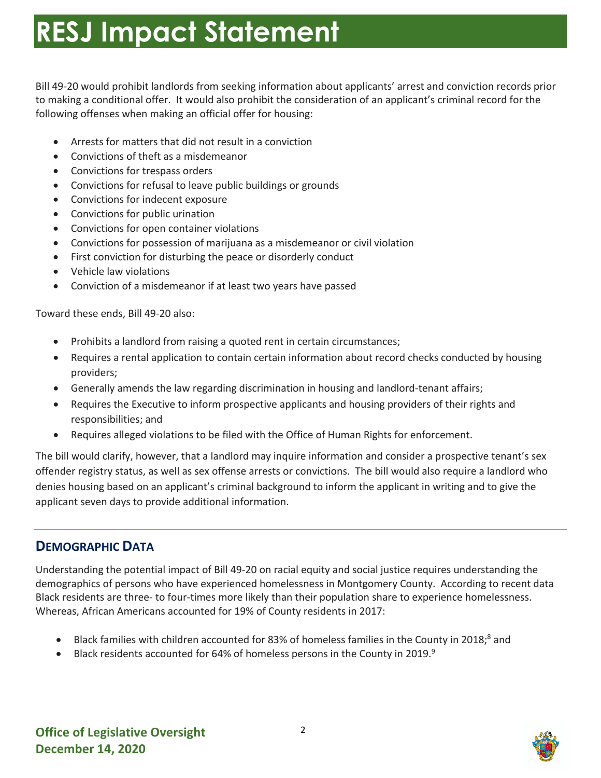Bill 49-20 would prohibit landlords from seeking information about applicants' arrest and conviction records prior to making a conditional offer. It would also prohibit the consideration of an applicant's criminal record for the following offenses when making an official offer for housing:

- Arrests for matters that did not result in a conviction
- Convictions of theft as a misdemeanor
- Convictions for trespass orders
- Convictions for refusal to leave public buildings or grounds
- Convictions for indecent exposure
- Convictions for public urination
- Convictions for open container violations
- Convictions for possession of marijuana as a misdemeanor or civil violation
- First conviction for disturbing the peace or disorderly conduct
- Vehicle law violations
- Conviction of a misdemeanor if at least two years have passed

Toward these ends, Bill 49-20 also:

- Prohibits a landlord from raising a quoted rent in certain circumstances;
- providers; • Requires a rental application to contain certain information about record checks conducted by housing
- Generally amends the law regarding discrimination in housing and landlord-tenant affairs;
- responsibilities; and • Requires the Executive to inform prospective applicants and housing providers of their rights and
- Requires alleged violations to be filed with the Office of Human Rights for enforcement.

 offender registry status, as well as sex offense arrests or convictions. The bill would also require a landlord who denies housing based on an applicant's criminal background to inform the applicant in writing and to give the The bill would clarify, however, that a landlord may inquire information and consider a prospective tenant's sex applicant seven days to provide additional information.

### **DEMOGRAPHIC DATA**

 Understanding the potential impact of Bill 49-20 on racial equity and social justice requires understanding the demographics of persons who have experienced homelessness in Montgomery County. According to recent data Black residents are three- to four-times more likely than their population share to experience homelessness. Whereas, African Americans accounted for 19% of County residents in 2017:

- Black families with children accounted for 83% of homeless families in the County in 2018;<sup>8</sup> and
- Black residents accounted for 64% of homeless persons in the County in 2019.<sup>9</sup>

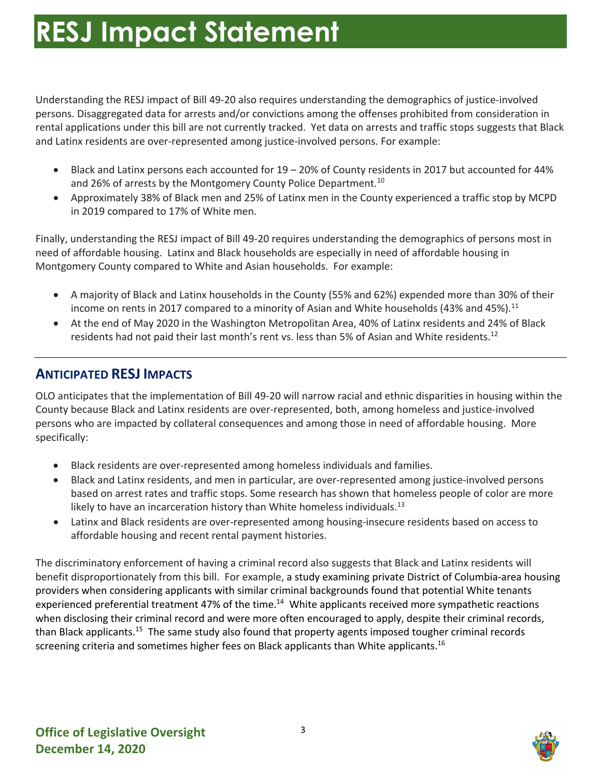persons. Disaggregated data for arrests and/or convictions among the offenses prohibited from consideration in rental applications under this bill are not currently tracked. Yet data on arrests and traffic stops suggests that Black and Latinx residents are over-represented among justice-involved persons. For example: Understanding the RESJ impact of Bill 49-20 also requires understanding the demographics of justice-involved

- • Black and Latinx persons each accounted for 19 20% of County residents in 2017 but accounted for 44% and 26% of arrests by the Montgomery County Police Department.<sup>10</sup>
- Approximately 38% of Black men and 25% of Latinx men in the County experienced a traffic stop by MCPD in 2019 compared to 17% of White men.

 need of affordable housing. Latinx and Black households are especially in need of affordable housing in Montgomery County compared to White and Asian households. For example: Finally, understanding the RESJ impact of Bill 49-20 requires understanding the demographics of persons most in

- • A majority of Black and Latinx households in the County (55% and 62%) expended more than 30% of their income on rents in 2017 compared to a minority of Asian and White households (43% and 45%).<sup>11</sup>
- • At the end of May 2020 in the Washington Metropolitan Area, 40% of Latinx residents and 24% of Black residents had not paid their last month's rent vs. less than 5% of Asian and White residents.<sup>12</sup>

### **ANTICIPATED RESJ IMPACTS**

 OLO anticipates that the implementation of Bill 49-20 will narrow racial and ethnic disparities in housing within the persons who are impacted by collateral consequences and among those in need of affordable housing. More County because Black and Latinx residents are over-represented, both, among homeless and justice-involved specifically:

- Black residents are over-represented among homeless individuals and families.
- Black and Latinx residents, and men in particular, are over-represented among justice-involved persons based on arrest rates and traffic stops. Some research has shown that homeless people of color are more likely to have an incarceration history than White homeless individuals.<sup>13</sup>
- Latinx and Black residents are over-represented among housing-insecure residents based on access to affordable housing and recent rental payment histories.

 benefit disproportionately from this bill. For example, a study examining private District of Columbia-area housing experienced preferential treatment 47% of the time.<sup>14</sup> White applicants received more sympathetic reactions when disclosing their criminal record and were more often encouraged to apply, despite their criminal records, than Black applicants.<sup>15</sup> The same study also found that property agents imposed tougher criminal records screening criteria and sometimes higher fees on Black applicants than White applicants.<sup>16</sup> The discriminatory enforcement of having a criminal record also suggests that Black and Latinx residents will providers when considering applicants with similar criminal backgrounds found that potential White tenants

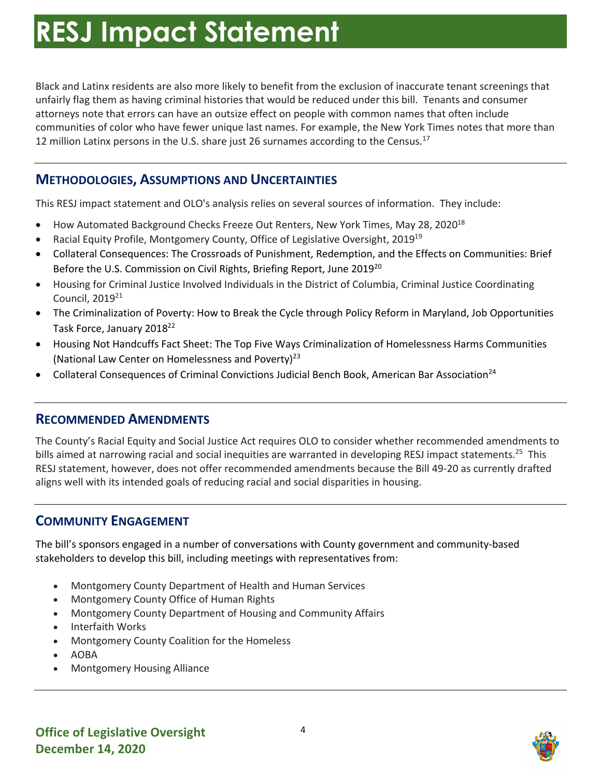Black and Latinx residents are also more likely to benefit from the exclusion of inaccurate tenant screenings that unfairly flag them as having criminal histories that would be reduced under this bill. Tenants and consumer attorneys note that errors can have an outsize effect on people with common names that often include communities of color who have fewer unique last names. For example, the New York Times notes that more than 12 million Latinx persons in the U.S. share just 26 surnames according to the Census.<sup>17</sup>

### **METHODOLOGIES, ASSUMPTIONS AND UNCERTAINTIES**

This RESJ impact statement and OLO's analysis relies on several sources of information. They include:

- How Automated Background Checks Freeze Out Renters, New York Times, May 28, 2020<sup>18</sup>
- Racial Equity Profile, Montgomery County, Office of Legislative Oversight, 2019<sup>19</sup>
- Before the U.S. Commission on Civil Rights, Briefing Report, June 2019<sup>20</sup> • Collateral Consequences: The Crossroads of Punishment, Redemption, and the Effects on Communities: Brief
- Housing for Criminal Justice Involved Individuals in the District of Columbia, Criminal Justice Coordinating Council, 201921
- The Criminalization of Poverty: How to Break the Cycle through Policy Reform in Maryland, Job Opportunities Task Force, January 2018<sup>22</sup>
- • Housing Not Handcuffs Fact Sheet: The Top Five Ways Criminalization of Homelessness Harms Communities (National Law Center on Homelessness and Poverty)<sup>23</sup>
- Collateral Consequences of Criminal Convictions Judicial Bench Book, American Bar Association<sup>24</sup>

#### **RECOMMENDED AMENDMENTS**

bills aimed at narrowing racial and social inequities are warranted in developing RESJ impact [statements.](https://statements.25)<sup>25</sup> This aligns well with its intended goals of reducing racial and social disparities in housing. The County's Racial Equity and Social Justice Act requires OLO to consider whether recommended amendments to RESJ statement, however, does not offer recommended amendments because the Bill 49-20 as currently drafted

#### **COMMUNITY ENGAGEMENT**

The bill's sponsors engaged in a number of conversations with County government and community-based stakeholders to develop this bill, including meetings with representatives from:

- Montgomery County Department of Health and Human Services
- Montgomery County Office of Human Rights
- Montgomery County Department of Housing and Community Affairs
- Interfaith Works
- Montgomery County Coalition for the Homeless
- AOBA
- Montgomery Housing Alliance